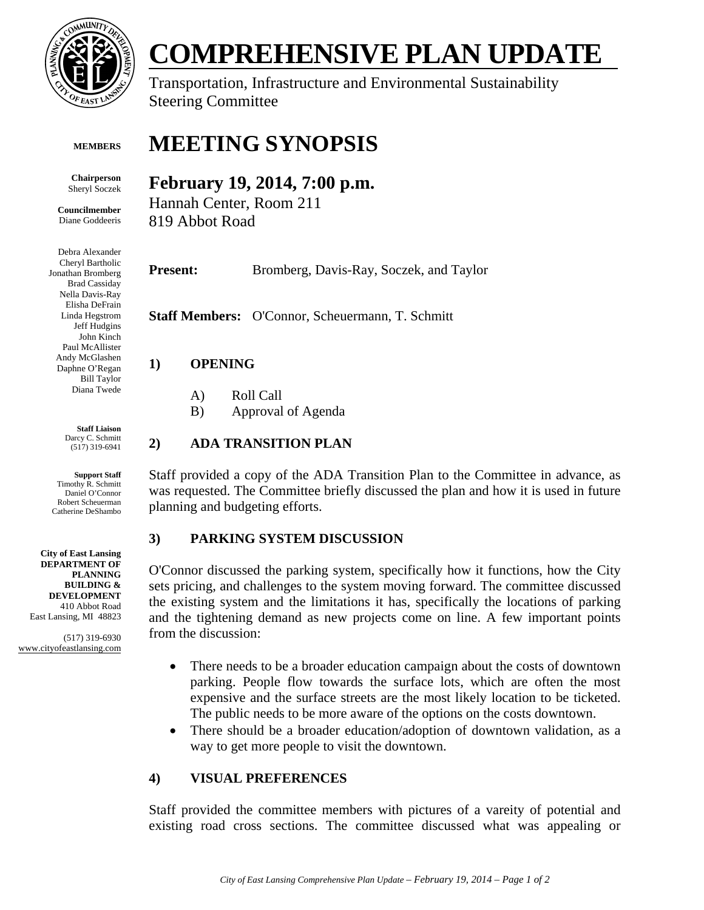

#### **MEMBERS**

**Chairperson**  Sheryl Soczek

**Councilmember**  Diane Goddeeris

Debra Alexander Cheryl Bartholic Jonathan Bromberg Brad Cassiday Nella Davis-Ray Elisha DeFrain Linda Hegstrom Jeff Hudgins John Kinch Paul McAllister Andy McGlashen Daphne O'Regan Bill Taylor Diana Twede

> **Staff Liaison**  Darcy C. Schmitt (517) 319-6941

**Support Staff**  Timothy R. Schmitt Daniel O'Connor Robert Scheuerman Catherine DeShambo

**City of East Lansing DEPARTMENT OF PLANNING BUILDING & DEVELOPMENT**  410 Abbot Road East Lansing, MI 48823

(517) 319-6930 www.cityofeastlansing.com

# **COMPREHENSIVE PLAN UPDATE**

Transportation, Infrastructure and Environmental Sustainability Steering Committee

## **MEETING SYNOPSIS**

### **February 19, 2014, 7:00 p.m.**

Hannah Center, Room 211 819 Abbot Road

Present: Bromberg, Davis-Ray, Soczek, and Taylor

**Staff Members:** O'Connor, Scheuermann, T. Schmitt

#### **1) OPENING**

- A) Roll Call
- B) Approval of Agenda

#### **2) ADA TRANSITION PLAN**

Staff provided a copy of the ADA Transition Plan to the Committee in advance, as was requested. The Committee briefly discussed the plan and how it is used in future planning and budgeting efforts.

#### **3) PARKING SYSTEM DISCUSSION**

O'Connor discussed the parking system, specifically how it functions, how the City sets pricing, and challenges to the system moving forward. The committee discussed the existing system and the limitations it has, specifically the locations of parking and the tightening demand as new projects come on line. A few important points from the discussion:

- There needs to be a broader education campaign about the costs of downtown parking. People flow towards the surface lots, which are often the most expensive and the surface streets are the most likely location to be ticketed. The public needs to be more aware of the options on the costs downtown.
- There should be a broader education/adoption of downtown validation, as a way to get more people to visit the downtown.

#### **4) VISUAL PREFERENCES**

Staff provided the committee members with pictures of a vareity of potential and existing road cross sections. The committee discussed what was appealing or